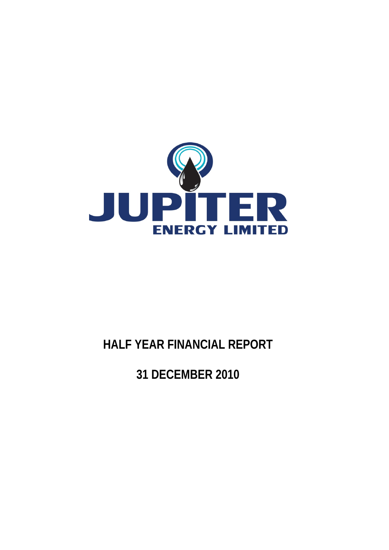

# **HALF YEAR FINANCIAL REPORT**

**31 DECEMBER 2010**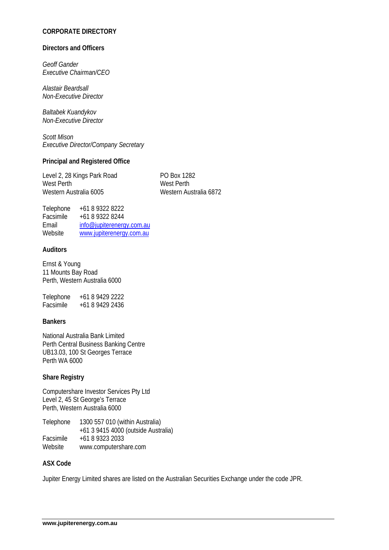# **CORPORATE DIRECTORY**

#### **Directors and Officers**

*Geoff Gander Executive Chairman/CEO* 

*Alastair Beardsall Non-Executive Director* 

*Baltabek Kuandykov Non-Executive Director* 

*Scott Mison Executive Director/Company Secretary* 

#### **Principal and Registered Office**

Level 2, 28 Kings Park Road PO Box 1282 West Perth West Perth Western Australia 6005 Western Australia 6872

| Telephone | +61 8 9322 8222           |
|-----------|---------------------------|
| Facsimile | +61 8 9322 8244           |
| Fmail     | info@jupiterenergy.com.au |
| Website   | www.jupiterenergy.com.au  |
|           |                           |

#### **Auditors**

Ernst & Young 11 Mounts Bay Road Perth, Western Australia 6000

Telephone +61 8 9429 2222 Facsimile +61 8 9429 2436

#### **Bankers**

National Australia Bank Limited Perth Central Business Banking Centre UB13.03, 100 St Georges Terrace Perth WA 6000

#### **Share Registry**

Computershare Investor Services Pty Ltd Level 2, 45 St George's Terrace Perth, Western Australia 6000

Telephone 1300 557 010 (within Australia) +61 3 9415 4000 (outside Australia) Facsimile +61 8 9323 2033<br>Website www.computersh www.computershare.com

#### **ASX Code**

Jupiter Energy Limited shares are listed on the Australian Securities Exchange under the code JPR.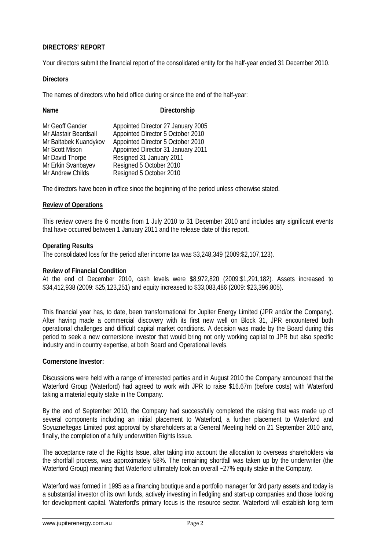# **DIRECTORS' REPORT**

Your directors submit the financial report of the consolidated entity for the half-year ended 31 December 2010.

#### **Directors**

The names of directors who held office during or since the end of the half-year:

**Directorship** 

| Mr Geoff Gander       | Appointed Director 27 January 2005 |
|-----------------------|------------------------------------|
| Mr Alastair Beardsall | Appointed Director 5 October 2010  |
| Mr Baltabek Kuandykov | Appointed Director 5 October 2010  |
| Mr Scott Mison        | Appointed Director 31 January 2011 |
| Mr David Thorpe       | Resigned 31 January 2011           |
| Mr Erkin Svanbayev    | Resigned 5 October 2010            |
| Mr Andrew Childs      | Resigned 5 October 2010            |

The directors have been in office since the beginning of the period unless otherwise stated.

#### **Review of Operations**

This review covers the 6 months from 1 July 2010 to 31 December 2010 and includes any significant events that have occurred between 1 January 2011 and the release date of this report.

#### **Operating Results**

The consolidated loss for the period after income tax was \$3,248,349 (2009:\$2,107,123).

#### **Review of Financial Condition**

At the end of December 2010, cash levels were \$8,972,820 (2009:\$1,291,182). Assets increased to \$34,412,938 (2009: \$25,123,251) and equity increased to \$33,083,486 (2009: \$23,396,805).

This financial year has, to date, been transformational for Jupiter Energy Limited (JPR and/or the Company). After having made a commercial discovery with its first new well on Block 31, JPR encountered both operational challenges and difficult capital market conditions. A decision was made by the Board during this period to seek a new cornerstone investor that would bring not only working capital to JPR but also specific industry and in country expertise, at both Board and Operational levels.

#### **Cornerstone Investor:**

Discussions were held with a range of interested parties and in August 2010 the Company announced that the Waterford Group (Waterford) had agreed to work with JPR to raise \$16.67m (before costs) with Waterford taking a material equity stake in the Company.

By the end of September 2010, the Company had successfully completed the raising that was made up of several components including an initial placement to Waterford, a further placement to Waterford and Soyuzneftegas Limited post approval by shareholders at a General Meeting held on 21 September 2010 and, finally, the completion of a fully underwritten Rights Issue.

The acceptance rate of the Rights Issue, after taking into account the allocation to overseas shareholders via the shortfall process, was approximately 58%. The remaining shortfall was taken up by the underwriter (the Waterford Group) meaning that Waterford ultimately took an overall ~27% equity stake in the Company.

Waterford was formed in 1995 as a financing boutique and a portfolio manager for 3rd party assets and today is a substantial investor of its own funds, actively investing in fledgling and start-up companies and those looking for development capital. Waterford's primary focus is the resource sector. Waterford will establish long term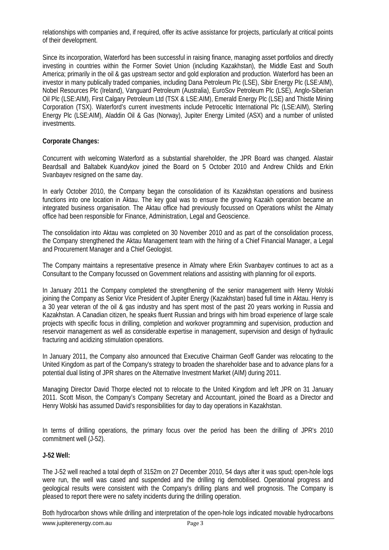relationships with companies and, if required, offer its active assistance for projects, particularly at critical points of their development.

Since its incorporation, Waterford has been successful in raising finance, managing asset portfolios and directly investing in countries within the Former Soviet Union (including Kazakhstan), the Middle East and South America; primarily in the oil & gas upstream sector and gold exploration and production. Waterford has been an investor in many publically traded companies, including Dana Petroleum Plc (LSE), Sibir Energy Plc (LSE:AIM), Nobel Resources Plc (Ireland), Vanguard Petroleum (Australia), EuroSov Petroleum Plc (LSE), Anglo-Siberian Oil Plc (LSE:AIM), First Calgary Petroleum Ltd (TSX & LSE:AIM), Emerald Energy Plc (LSE) and Thistle Mining Corporation (TSX). Waterford's current investments include Petroceltic International Plc (LSE:AIM), Sterling Energy Plc (LSE:AIM), Aladdin Oil & Gas (Norway), Jupiter Energy Limited (ASX) and a number of unlisted investments.

#### **Corporate Changes:**

Concurrent with welcoming Waterford as a substantial shareholder, the JPR Board was changed. Alastair Beardsall and Baltabek Kuandykov joined the Board on 5 October 2010 and Andrew Childs and Erkin Svanbayev resigned on the same day.

In early October 2010, the Company began the consolidation of its Kazakhstan operations and business functions into one location in Aktau. The key goal was to ensure the growing Kazakh operation became an integrated business organisation. The Aktau office had previously focussed on Operations whilst the Almaty office had been responsible for Finance, Administration, Legal and Geoscience.

The consolidation into Aktau was completed on 30 November 2010 and as part of the consolidation process, the Company strengthened the Aktau Management team with the hiring of a Chief Financial Manager, a Legal and Procurement Manager and a Chief Geologist.

The Company maintains a representative presence in Almaty where Erkin Svanbayev continues to act as a Consultant to the Company focussed on Government relations and assisting with planning for oil exports.

In January 2011 the Company completed the strengthening of the senior management with Henry Wolski joining the Company as Senior Vice President of Jupiter Energy (Kazakhstan) based full time in Aktau. Henry is a 30 year veteran of the oil & gas industry and has spent most of the past 20 years working in Russia and Kazakhstan. A Canadian citizen, he speaks fluent Russian and brings with him broad experience of large scale projects with specific focus in drilling, completion and workover programming and supervision, production and reservoir management as well as considerable expertise in management, supervision and design of hydraulic fracturing and acidizing stimulation operations.

In January 2011, the Company also announced that Executive Chairman Geoff Gander was relocating to the United Kingdom as part of the Company's strategy to broaden the shareholder base and to advance plans for a potential dual listing of JPR shares on the Alternative Investment Market (AIM) during 2011.

Managing Director David Thorpe elected not to relocate to the United Kingdom and left JPR on 31 January 2011. Scott Mison, the Company's Company Secretary and Accountant, joined the Board as a Director and Henry Wolski has assumed David's responsibilities for day to day operations in Kazakhstan.

In terms of drilling operations, the primary focus over the period has been the drilling of JPR's 2010 commitment well (J-52).

#### **J-52 Well:**

The J-52 well reached a total depth of 3152m on 27 December 2010, 54 days after it was spud; open-hole logs were run, the well was cased and suspended and the drilling rig demobilised. Operational progress and geological results were consistent with the Company's drilling plans and well prognosis. The Company is pleased to report there were no safety incidents during the drilling operation.

Both hydrocarbon shows while drilling and interpretation of the open-hole logs indicated movable hydrocarbons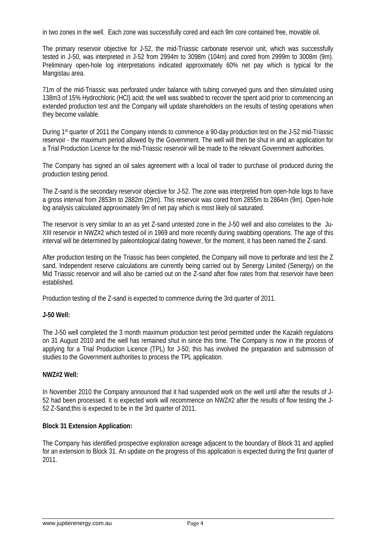in two zones in the well. Each zone was successfully cored and each 9m core contained free, movable oil.

The primary reservoir objective for J-52, the mid-Triassic carbonate reservoir unit, which was successfully tested in J-50, was interpreted in J-52 from 2994m to 3098m (104m) and cored from 2999m to 3008m (9m). Preliminary open-hole log interpretations indicated approximately 60% net pay which is typical for the Mangistau area.

71m of the mid-Triassic was perforated under balance with tubing conveyed guns and then stimulated using 138m3 of 15% Hydrochloric (HCl) acid; the well was swabbed to recover the spent acid prior to commencing an extended production test and the Company will update shareholders on the results of testing operations when they become vailable.

During 1st quarter of 2011 the Company intends to commence a 90-day production test on the J-52 mid-Triassic reservoir - the maximum period allowed by the Government. The well will then be shut in and an application for a Trial Production Licence for the mid-Triassic reservoir will be made to the relevant Government authorities.

The Company has signed an oil sales agreement with a local oil trader to purchase oil produced during the production testing period.

The Z-sand is the secondary reservoir objective for J-52. The zone was interpreted from open-hole logs to have a gross interval from 2853m to 2882m (29m). This reservoir was cored from 2855m to 2864m (9m). Open-hole log analysis calculated approximately 9m of net pay which is most likely oil saturated.

The reservoir is very similar to an as yet Z-sand untested zone in the J-50 well and also correlates to the Ju-XIII reservoir in NWZ#2 which tested oil in 1969 and more recently during swabbing operations. The age of this interval will be determined by paleontological dating however, for the moment, it has been named the Z-sand.

After production testing on the Triassic has been completed, the Company will move to perforate and test the Z sand. Independent reserve calculations are currently being carried out by Senergy Limited (Senergy) on the Mid Triassic reservoir and will also be carried out on the Z-sand after flow rates from that reservoir have been established.

Production testing of the Z-sand is expected to commence during the 3rd quarter of 2011.

# **J-50 Well:**

The J-50 well completed the 3 month maximum production test period permitted under the Kazakh regulations on 31 August 2010 and the well has remained shut in since this time. The Company is now in the process of applying for a Trial Production Licence (TPL) for J-50; this has involved the preparation and submission of studies to the Government authorities to process the TPL application.

#### **NWZ#2 Well:**

In November 2010 the Company announced that it had suspended work on the well until after the results of J-52 had been processed. It is expected work will recommence on NWZ#2 after the results of flow testing the J-52 Z-Sand;this is expected to be in the 3rd quarter of 2011.

#### **Block 31 Extension Application:**

The Company has identified prospective exploration acreage adjacent to the boundary of Block 31 and applied for an extension to Block 31. An update on the progress of this application is expected during the first quarter of 2011.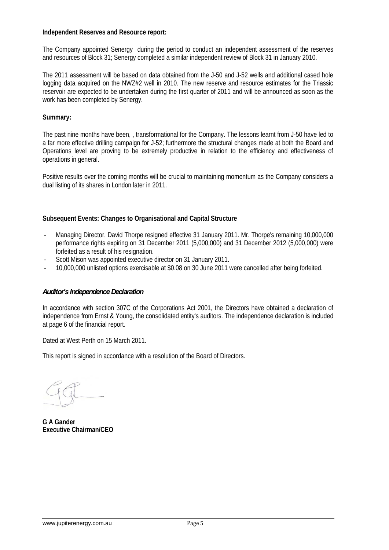#### **Independent Reserves and Resource report:**

The Company appointed Senergy during the period to conduct an independent assessment of the reserves and resources of Block 31; Senergy completed a similar independent review of Block 31 in January 2010.

The 2011 assessment will be based on data obtained from the J-50 and J-52 wells and additional cased hole logging data acquired on the NWZ#2 well in 2010. The new reserve and resource estimates for the Triassic reservoir are expected to be undertaken during the first quarter of 2011 and will be announced as soon as the work has been completed by Senergy.

#### **Summary:**

The past nine months have been, , transformational for the Company. The lessons learnt from J-50 have led to a far more effective drilling campaign for J-52; furthermore the structural changes made at both the Board and Operations level are proving to be extremely productive in relation to the efficiency and effectiveness of operations in general.

Positive results over the coming months will be crucial to maintaining momentum as the Company considers a dual listing of its shares in London later in 2011.

# **Subsequent Events: Changes to Organisational and Capital Structure**

- Managing Director, David Thorpe resigned effective 31 January 2011. Mr. Thorpe's remaining 10,000,000 performance rights expiring on 31 December 2011 (5,000,000) and 31 December 2012 (5,000,000) were forfeited as a result of his resignation.
- Scott Mison was appointed executive director on 31 January 2011.
- 10,000,000 unlisted options exercisable at \$0.08 on 30 June 2011 were cancelled after being forfeited.

#### *Auditor's Independence Declaration*

In accordance with section 307C of the Corporations Act 2001, the Directors have obtained a declaration of independence from Ernst & Young, the consolidated entity's auditors. The independence declaration is included at page 6 of the financial report.

Dated at West Perth on 15 March 2011.

This report is signed in accordance with a resolution of the Board of Directors.

**G A Gander Executive Chairman/CEO**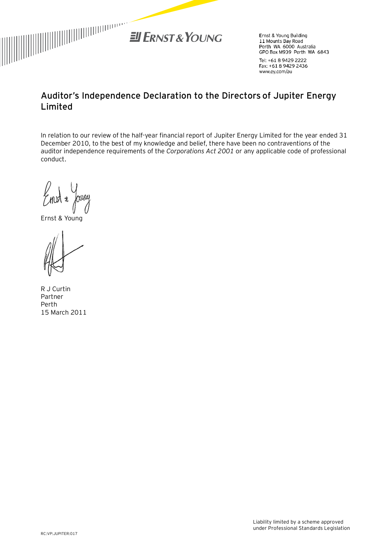

Ernst & Young Building 11 Mounts Bay Road Perth WA 6000 Australia GPO Box M939 Perth WA 6843

Tel: +61 8 9429 2222 Fax: +61 8 9429 2436 www.ey.com/au

# **Auditor's Independence Declaration to the Directors of Jupiter Energy Limited**

In relation to our review of the half-year financial report of Jupiter Energy Limited for the year ended 31 December 2010, to the best of my knowledge and belief, there have been no contraventions of the auditor independence requirements of the *Corporations Act 2001* or any applicable code of professional conduct.

Embl # Joury

Ernst & Young

R J Curtin Partner Perth 15 March 2011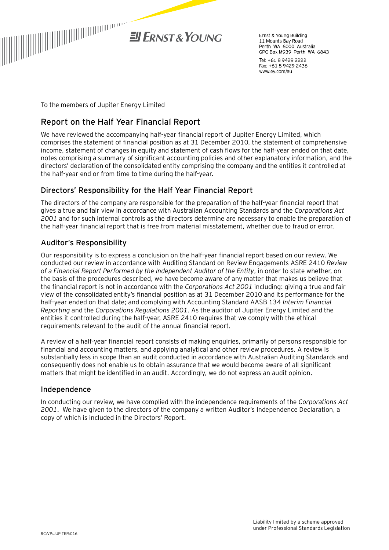

Frnst & Young Building 11 Mounts Bay Road Perth WA 6000 Australia GPO Box M939 Perth WA 6843

Tel: +61 8 9429 2222 Fax: +61 8 9429 2436 www.ey.com/au

To the members of Jupiter Energy Limited

# **Report on the Half Year Financial Report**

We have reviewed the accompanying half-year financial report of Jupiter Energy Limited, which comprises the statement of financial position as at 31 December 2010, the statement of comprehensive income, statement of changes in equity and statement of cash flows for the half-year ended on that date, notes comprising a summary of significant accounting policies and other explanatory information, and the directors' declaration of the consolidated entity comprising the company and the entities it controlled at the half-year end or from time to time during the half-year.

# Directors' Responsibility for the Half Year Financial Report

The directors of the company are responsible for the preparation of the half-year financial report that gives a true and fair view in accordance with Australian Accounting Standards and the *Corporations Act 2001* and for such internal controls as the directors determine are necessary to enable the preparation of the half-year financial report that is free from material misstatement, whether due to fraud or error.

# Auditor's Responsibility

Our responsibility is to express a conclusion on the half-year financial report based on our review. We conducted our review in accordance with Auditing Standard on Review Engagements ASRE 2410 *Review of a Financial Report Performed by the Independent Auditor of the Entity*, in order to state whether, on the basis of the procedures described, we have become aware of any matter that makes us believe that the financial report is not in accordance with the *Corporations Act 2001* including: giving a true and fair view of the consolidated entity's financial position as at 31 December 2010 and its performance for the half-year ended on that date; and complying with Accounting Standard AASB 134 *Interim Financial Reporting* and the *Corporations Regulations 2001*. As the auditor of Jupiter Energy Limited and the entities it controlled during the half-year, ASRE 2410 requires that we comply with the ethical requirements relevant to the audit of the annual financial report.

A review of a half-year financial report consists of making enquiries, primarily of persons responsible for financial and accounting matters, and applying analytical and other review procedures. A review is substantially less in scope than an audit conducted in accordance with Australian Auditing Standards and consequently does not enable us to obtain assurance that we would become aware of all significant matters that might be identified in an audit. Accordingly, we do not express an audit opinion.

# Independence

In conducting our review, we have complied with the independence requirements of the *Corporations Act 2001*. We have given to the directors of the company a written Auditor's Independence Declaration, a copy of which is included in the Directors' Report.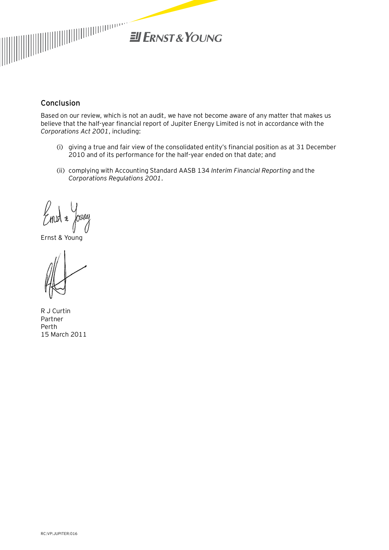

# Conclusion

Based on our review, which is not an audit, we have not become aware of any matter that makes us believe that the half-year financial report of Jupiter Energy Limited is not in accordance with the *Corporations Act 2001*, including:

- (i) giving a true and fair view of the consolidated entity's financial position as at 31 December 2010 and of its performance for the half-year ended on that date; and
- (ii) complying with Accounting Standard AASB 134 *Interim Financial Reporting* and the *Corporations Regulations 2001*.

Embl # Joury

Ernst & Young

R J Curtin Partner Perth 15 March 2011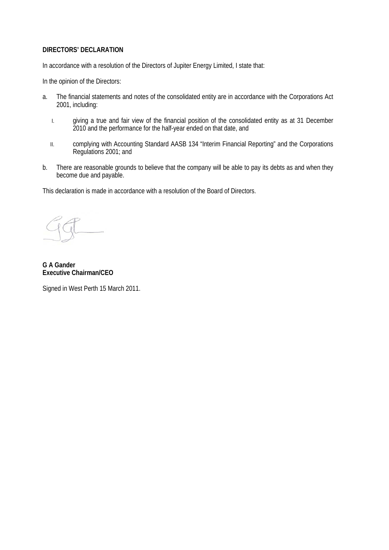#### **DIRECTORS' DECLARATION**

In accordance with a resolution of the Directors of Jupiter Energy Limited, I state that:

In the opinion of the Directors:

- a. The financial statements and notes of the consolidated entity are in accordance with the Corporations Act 2001, including:
	- I. giving a true and fair view of the financial position of the consolidated entity as at 31 December 2010 and the performance for the half-year ended on that date, and
	- II. complying with Accounting Standard AASB 134 "Interim Financial Reporting" and the Corporations Regulations 2001; and
- b. There are reasonable grounds to believe that the company will be able to pay its debts as and when they become due and payable.

This declaration is made in accordance with a resolution of the Board of Directors.

**G A Gander Executive Chairman/CEO** 

Signed in West Perth 15 March 2011.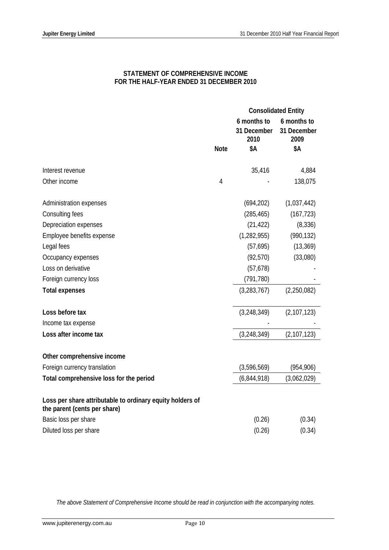# **STATEMENT OF COMPREHENSIVE INCOME FOR THE HALF-YEAR ENDED 31 DECEMBER 2010**

|                                                                                           |                |                                    | <b>Consolidated Entity</b>         |  |
|-------------------------------------------------------------------------------------------|----------------|------------------------------------|------------------------------------|--|
|                                                                                           |                | 6 months to<br>31 December<br>2010 | 6 months to<br>31 December<br>2009 |  |
|                                                                                           | <b>Note</b>    | \$Α                                | \$Α                                |  |
|                                                                                           |                |                                    |                                    |  |
| Interest revenue                                                                          |                | 35,416                             | 4,884                              |  |
| Other income                                                                              | $\overline{4}$ |                                    | 138,075                            |  |
| Administration expenses                                                                   |                | (694, 202)                         | (1,037,442)                        |  |
| Consulting fees                                                                           |                | (285, 465)                         | (167, 723)                         |  |
| Depreciation expenses                                                                     |                | (21, 422)                          | (8, 336)                           |  |
| Employee benefits expense                                                                 |                | (1, 282, 955)                      | (990, 132)                         |  |
| Legal fees                                                                                |                | (57, 695)                          | (13, 369)                          |  |
| Occupancy expenses                                                                        |                | (92, 570)                          | (33,080)                           |  |
| Loss on derivative                                                                        |                | (57, 678)                          |                                    |  |
| Foreign currency loss                                                                     |                | (791, 780)                         |                                    |  |
| <b>Total expenses</b>                                                                     |                | (3, 283, 767)                      | (2,250,082)                        |  |
| Loss before tax                                                                           |                | (3,248,349)                        | (2, 107, 123)                      |  |
| Income tax expense                                                                        |                |                                    |                                    |  |
| Loss after income tax                                                                     |                | (3,248,349)                        | (2, 107, 123)                      |  |
| Other comprehensive income                                                                |                |                                    |                                    |  |
| Foreign currency translation                                                              |                | (3,596,569)                        | (954, 906)                         |  |
| Total comprehensive loss for the period                                                   |                | (6,844,918)                        | (3,062,029)                        |  |
| Loss per share attributable to ordinary equity holders of<br>the parent (cents per share) |                |                                    |                                    |  |
| Basic loss per share                                                                      |                | (0.26)                             | (0.34)                             |  |
| Diluted loss per share                                                                    |                | (0.26)                             | (0.34)                             |  |

*The above Statement of Comprehensive Income should be read in conjunction with the accompanying notes.*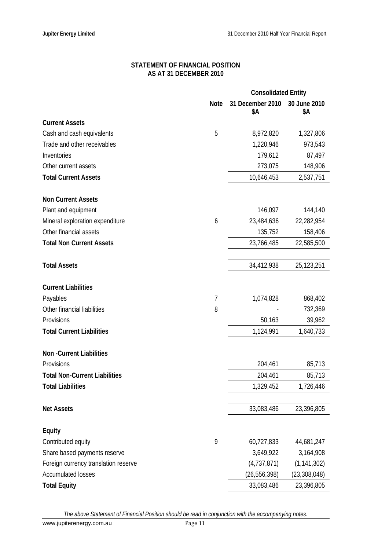#### **STATEMENT OF FINANCIAL POSITION AS AT 31 DECEMBER 2010**

|                                      | <b>Consolidated Entity</b> |                         |                     |
|--------------------------------------|----------------------------|-------------------------|---------------------|
|                                      | <b>Note</b>                | 31 December 2010<br>\$Α | 30 June 2010<br>\$Α |
| <b>Current Assets</b>                |                            |                         |                     |
| Cash and cash equivalents            | 5                          | 8,972,820               | 1,327,806           |
| Trade and other receivables          |                            | 1,220,946               | 973,543             |
| Inventories                          |                            | 179,612                 | 87,497              |
| Other current assets                 |                            | 273,075                 | 148,906             |
| <b>Total Current Assets</b>          |                            | 10,646,453              | 2,537,751           |
| <b>Non Current Assets</b>            |                            |                         |                     |
| Plant and equipment                  |                            | 146,097                 | 144,140             |
| Mineral exploration expenditure      | 6                          | 23,484,636              | 22,282,954          |
| Other financial assets               |                            | 135,752                 | 158,406             |
| <b>Total Non Current Assets</b>      |                            | 23,766,485              | 22,585,500          |
| <b>Total Assets</b>                  |                            | 34,412,938              | 25,123,251          |
| <b>Current Liabilities</b>           |                            |                         |                     |
| Payables                             | 7                          | 1,074,828               | 868,402             |
| Other financial liabilities          | 8                          |                         | 732,369             |
| Provisions                           |                            | 50,163                  | 39,962              |
| <b>Total Current Liabilities</b>     |                            | 1,124,991               | 1,640,733           |
| <b>Non-Current Liabilities</b>       |                            |                         |                     |
| Provisions                           |                            | 204,461                 | 85,713              |
| <b>Total Non-Current Liabilities</b> |                            | 204,461                 | 85,713              |
| <b>Total Liabilities</b>             |                            | 1,329,452               | 1,726,446           |
|                                      |                            |                         |                     |
| <b>Net Assets</b>                    |                            | 33,083,486              | 23,396,805          |
| <b>Equity</b>                        |                            |                         |                     |
| Contributed equity                   | 9                          | 60,727,833              | 44,681,247          |
| Share based payments reserve         |                            | 3,649,922               | 3,164,908           |
| Foreign currency translation reserve |                            | (4,737,871)             | (1, 141, 302)       |
| <b>Accumulated losses</b>            |                            | (26, 556, 398)          | (23, 308, 048)      |
| <b>Total Equity</b>                  |                            | 33,083,486              | 23,396,805          |

*The above Statement of Financial Position should be read in conjunction with the accompanying notes.*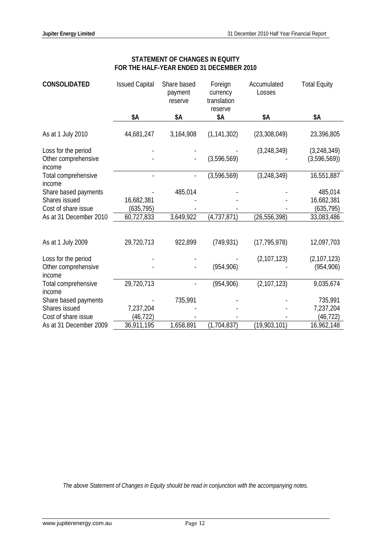| <b>CONSOLIDATED</b>                                  | <b>Issued Capital</b> | Share based<br>payment<br>reserve | Foreign<br>currency<br>translation | Accumulated<br>Losses | <b>Total Equity</b>          |
|------------------------------------------------------|-----------------------|-----------------------------------|------------------------------------|-----------------------|------------------------------|
|                                                      | \$Α                   | \$Α                               | reserve<br>\$Α                     | \$Α                   | \$Α                          |
| As at 1 July 2010                                    | 44,681,247            | 3,164,908                         | (1, 141, 302)                      | (23, 308, 049)        | 23,396,805                   |
| Loss for the period<br>Other comprehensive<br>income |                       |                                   | (3,596,569)                        | (3,248,349)           | (3, 248, 349)<br>(3,596,569) |
| Total comprehensive<br>income                        |                       |                                   | (3,596,569)                        | (3, 248, 349)         | 16,551,887                   |
| Share based payments                                 |                       | 485,014                           |                                    |                       | 485,014                      |
| Shares issued                                        | 16,682,381            |                                   |                                    |                       | 16,682,381                   |
| Cost of share issue                                  | (635, 795)            |                                   |                                    |                       | (635, 795)                   |
| As at 31 December 2010                               | 60,727,833            | 3,649,922                         | (4,737,871)                        | (26, 556, 398)        | 33,083,486                   |
|                                                      |                       |                                   |                                    |                       |                              |
| As at 1 July 2009                                    | 29,720,713            | 922,899                           | (749, 931)                         | (17, 795, 978)        | 12,097,703                   |
| Loss for the period                                  |                       |                                   |                                    | (2, 107, 123)         | (2, 107, 123)                |
| Other comprehensive<br>income                        |                       |                                   | (954, 906)                         |                       | (954, 906)                   |
| Total comprehensive<br>income                        | 29,720,713            |                                   | (954, 906)                         | (2, 107, 123)         | 9,035,674                    |
| Share based payments                                 |                       | 735,991                           |                                    |                       | 735,991                      |
| Shares issued                                        | 7,237,204             |                                   |                                    |                       | 7,237,204                    |
| Cost of share issue                                  | (46, 722)             |                                   |                                    |                       | (46, 722)                    |
| As at 31 December 2009                               | 36,911,195            | 1,658,891                         | (1,704,837)                        | (19,903,101)          | 16,962,148                   |

# **STATEMENT OF CHANGES IN EQUITY FOR THE HALF-YEAR ENDED 31 DECEMBER 2010**

*The above Statement of Changes in Equity should be read in conjunction with the accompanying notes.*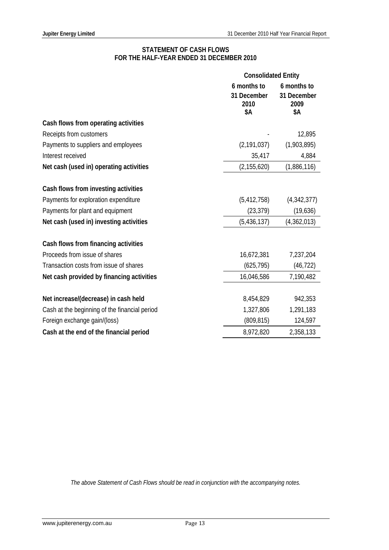#### **STATEMENT OF CASH FLOWS FOR THE HALF-YEAR ENDED 31 DECEMBER 2010**

|                                               | <b>Consolidated Entity</b>                |                                           |
|-----------------------------------------------|-------------------------------------------|-------------------------------------------|
|                                               | 6 months to<br>31 December<br>2010<br>\$Α | 6 months to<br>31 December<br>2009<br>\$Α |
| Cash flows from operating activities          |                                           |                                           |
| Receipts from customers                       |                                           | 12,895                                    |
| Payments to suppliers and employees           | (2, 191, 037)                             | (1,903,895)                               |
| Interest received                             | 35,417                                    | 4,884                                     |
| Net cash (used in) operating activities       | (2, 155, 620)                             | (1,886,116)                               |
| Cash flows from investing activities          |                                           |                                           |
| Payments for exploration expenditure          | (5, 412, 758)                             | (4,342,377)                               |
| Payments for plant and equipment              | (23, 379)                                 | (19,636)                                  |
| Net cash (used in) investing activities       | (5,436,137)                               | (4,362,013)                               |
| Cash flows from financing activities          |                                           |                                           |
| Proceeds from issue of shares                 | 16,672,381                                | 7,237,204                                 |
| Transaction costs from issue of shares        | (625, 795)                                | (46, 722)                                 |
| Net cash provided by financing activities     | 16,046,586                                | 7,190,482                                 |
| Net increase/(decrease) in cash held          | 8,454,829                                 | 942,353                                   |
| Cash at the beginning of the financial period | 1,327,806                                 | 1,291,183                                 |
| Foreign exchange gain/(loss)                  | (809, 815)                                | 124,597                                   |
| Cash at the end of the financial period       | 8,972,820                                 | 2,358,133                                 |

*The above Statement of Cash Flows should be read in conjunction with the accompanying notes.*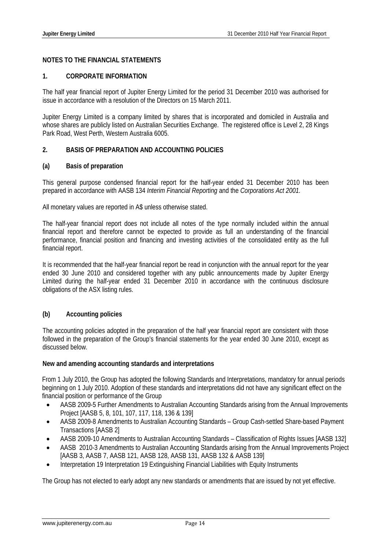# **NOTES TO THE FINANCIAL STATEMENTS**

#### **1. CORPORATE INFORMATION**

The half year financial report of Jupiter Energy Limited for the period 31 December 2010 was authorised for issue in accordance with a resolution of the Directors on 15 March 2011.

Jupiter Energy Limited is a company limited by shares that is incorporated and domiciled in Australia and whose shares are publicly listed on Australian Securities Exchange. The registered office is Level 2, 28 Kings Park Road, West Perth, Western Australia 6005.

# **2. BASIS OF PREPARATION AND ACCOUNTING POLICIES**

#### **(a) Basis of preparation**

This general purpose condensed financial report for the half-year ended 31 December 2010 has been prepared in accordance with AASB 134 *Interim Financial Reporting* and the *Corporations Act 2001.* 

All monetary values are reported in A\$ unless otherwise stated.

The half-year financial report does not include all notes of the type normally included within the annual financial report and therefore cannot be expected to provide as full an understanding of the financial performance, financial position and financing and investing activities of the consolidated entity as the full financial report.

It is recommended that the half-year financial report be read in conjunction with the annual report for the year ended 30 June 2010 and considered together with any public announcements made by Jupiter Energy Limited during the half-year ended 31 December 2010 in accordance with the continuous disclosure obligations of the ASX listing rules.

# **(b) Accounting policies**

The accounting policies adopted in the preparation of the half year financial report are consistent with those followed in the preparation of the Group's financial statements for the year ended 30 June 2010, except as discussed below.

#### **New and amending accounting standards and interpretations**

From 1 July 2010, the Group has adopted the following Standards and Interpretations, mandatory for annual periods beginning on 1 July 2010. Adoption of these standards and interpretations did not have any significant effect on the financial position or performance of the Group

- AASB 2009-5 Further Amendments to Australian Accounting Standards arising from the Annual Improvements Project [AASB 5, 8, 101, 107, 117, 118, 136 & 139]
- AASB 2009-8 Amendments to Australian Accounting Standards Group Cash-settled Share-based Payment Transactions [AASB 2]
- AASB 2009-10 Amendments to Australian Accounting Standards Classification of Rights Issues [AASB 132]
- AASB 2010-3 Amendments to Australian Accounting Standards arising from the Annual Improvements Project [AASB 3, AASB 7, AASB 121, AASB 128, AASB 131, AASB 132 & AASB 139]
- Interpretation 19 Interpretation 19 Extinguishing Financial Liabilities with Equity Instruments

The Group has not elected to early adopt any new standards or amendments that are issued by not yet effective.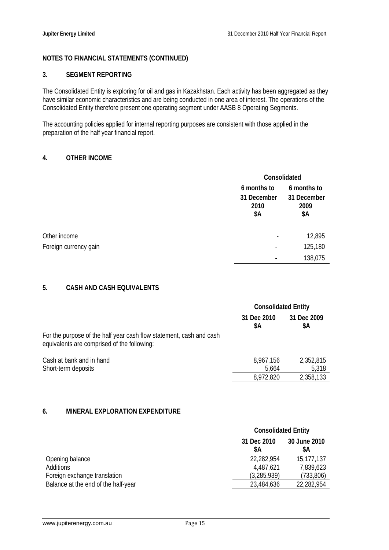# **NOTES TO FINANCIAL STATEMENTS (CONTINUED)**

#### **3. SEGMENT REPORTING**

The Consolidated Entity is exploring for oil and gas in Kazakhstan. Each activity has been aggregated as they have similar economic characteristics and are being conducted in one area of interest. The operations of the Consolidated Entity therefore present one operating segment under AASB 8 Operating Segments.

The accounting policies applied for internal reporting purposes are consistent with those applied in the preparation of the half year financial report.

#### **4. OTHER INCOME**

|                       |                                           | Consolidated                              |  |
|-----------------------|-------------------------------------------|-------------------------------------------|--|
|                       | 6 months to<br>31 December<br>2010<br>\$Α | 6 months to<br>31 December<br>2009<br>\$Α |  |
| Other income          |                                           | 12,895                                    |  |
| Foreign currency gain |                                           | 125,180                                   |  |
|                       |                                           | 138,075                                   |  |

# **5. CASH AND CASH EQUIVALENTS**

|                                                                                                                    | <b>Consolidated Entity</b> |                    |
|--------------------------------------------------------------------------------------------------------------------|----------------------------|--------------------|
|                                                                                                                    | 31 Dec 2010<br>\$Α         | 31 Dec 2009<br>\$A |
| For the purpose of the half year cash flow statement, cash and cash<br>equivalents are comprised of the following: |                            |                    |
| Cash at bank and in hand                                                                                           | 8,967,156                  | 2,352,815          |
| Short-term deposits                                                                                                | 5,664                      | 5,318              |
|                                                                                                                    | 8,972,820                  | 2,358,133          |

# **6. MINERAL EXPLORATION EXPENDITURE**

|                                     | <b>Consolidated Entity</b> |                    |
|-------------------------------------|----------------------------|--------------------|
|                                     | 31 Dec 2010<br>\$A         | 30 June 2010<br>SΑ |
| Opening balance                     | 22,282,954                 | 15,177,137         |
| <b>Additions</b>                    | 4,487,621                  | 7,839,623          |
| Foreign exchange translation        | (3,285,939)                | (733, 806)         |
| Balance at the end of the half-year | 23,484,636                 | 22,282,954         |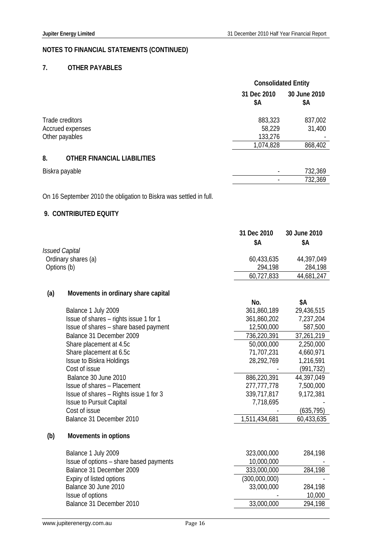# **NOTES TO FINANCIAL STATEMENTS (CONTINUED)**

# **7. OTHER PAYABLES**

|                                          | <b>Consolidated Entity</b> |                     |
|------------------------------------------|----------------------------|---------------------|
|                                          | 31 Dec 2010<br>\$Α         | 30 June 2010<br>\$Α |
| Trade creditors                          | 883,323                    | 837,002             |
| Accrued expenses                         | 58,229                     | 31,400              |
| Other payables                           | 133,276                    |                     |
|                                          | 1,074,828                  | 868,402             |
| 8.<br><b>OTHER FINANCIAL LIABILITIES</b> |                            |                     |
| Biskra payable                           |                            | 732,369             |
|                                          |                            | 732,369             |

On 16 September 2010 the obligation to Biskra was settled in full.

# **9. CONTRIBUTED EQUITY**

|             |                                     | 31 Dec 2010<br>\$Α | 30 June 2010<br>\$Α |
|-------------|-------------------------------------|--------------------|---------------------|
|             | <i>Issued Capital</i>               |                    |                     |
|             | Ordinary shares (a)                 | 60,433,635         | 44,397,049          |
| Options (b) |                                     | 294,198            | 284,198             |
|             |                                     | 60,727,833         | 44,681,247          |
| (a)         | Movements in ordinary share capital |                    |                     |
|             |                                     | No.                | \$Α                 |
|             | Ralance 1 luly 2009                 | 361 860 189        | 29 436 515          |

|     | Balance 1 July 2009                     | 361,860,189   | 29,436,515 |
|-----|-----------------------------------------|---------------|------------|
|     | Issue of shares – rights issue 1 for 1  | 361,860,202   | 7,237,204  |
|     | Issue of shares - share based payment   | 12,500,000    | 587,500    |
|     | Balance 31 December 2009                | 736,220,391   | 37,261,219 |
|     | Share placement at 4.5c                 | 50,000,000    | 2,250,000  |
|     | Share placement at 6.5c                 | 71,707,231    | 4,660,971  |
|     | Issue to Biskra Holdings                | 28,292,769    | 1,216,591  |
|     | Cost of issue                           |               | (991,732)  |
|     | Balance 30 June 2010                    | 886,220,391   | 44,397,049 |
|     | Issue of shares - Placement             | 277, 777, 778 | 7,500,000  |
|     | Issue of shares - Rights issue 1 for 3  | 339,717,817   | 9,172,381  |
|     | <b>Issue to Pursuit Capital</b>         | 7,718,695     |            |
|     | Cost of issue                           |               | (635, 795) |
|     | Balance 31 December 2010                | 1,511,434,681 | 60,433,635 |
| (b) | Movements in options                    |               |            |
|     | Balance 1 July 2009                     | 323,000,000   | 284,198    |
|     | Issue of options – share based payments | 10,000,000    |            |
|     | Balance 31 December 2009                | 333,000,000   | 284,198    |
|     | Expiry of listed options                | (300,000,000) |            |
|     | Balance 30 June 2010                    | 33,000,000    | 284,198    |
|     | Issue of options                        |               | 10,000     |
|     | Balance 31 December 2010                | 33,000,000    | 294,198    |